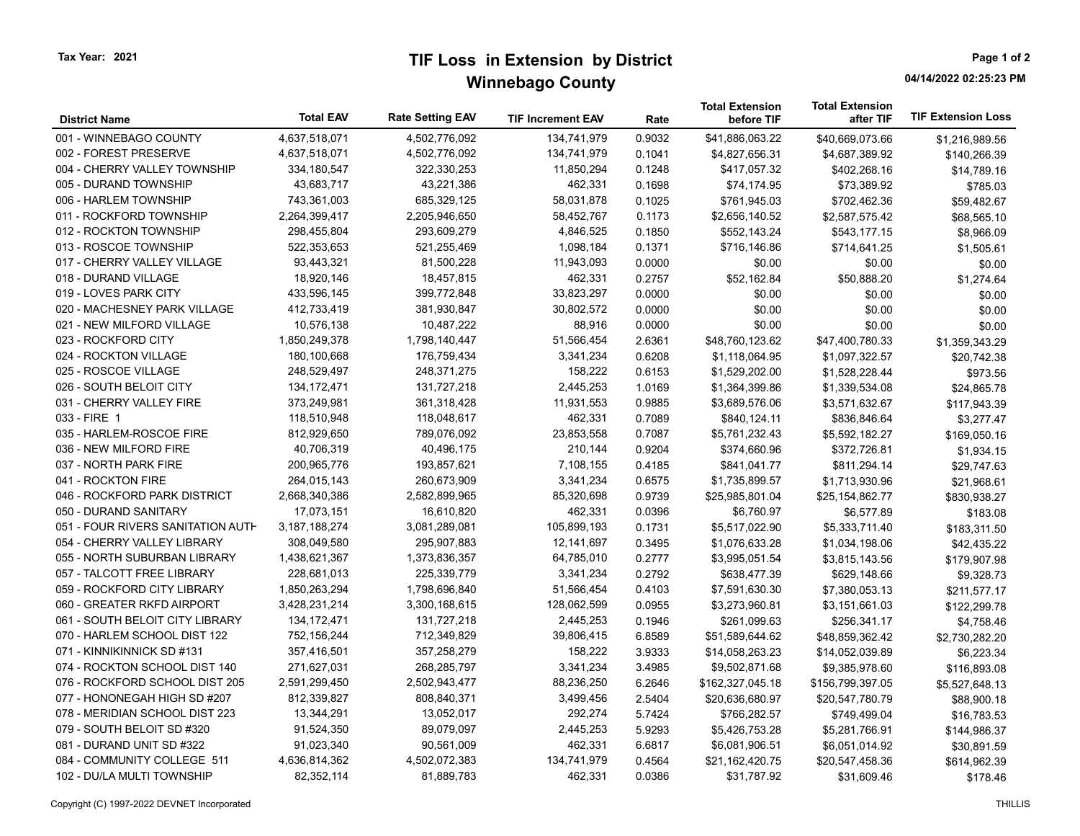## TIF Loss in Extension by District Winnebago County

Page 1 of 2

04/14/2022 02:25:23 PM

| <b>District Name</b>              | <b>Total EAV</b> | <b>Rate Setting EAV</b> | <b>TIF Increment EAV</b> | Rate   | <b>Total Extension</b><br>before TIF | <b>Total Extension</b><br>after TIF | <b>TIF Extension Loss</b> |
|-----------------------------------|------------------|-------------------------|--------------------------|--------|--------------------------------------|-------------------------------------|---------------------------|
| 001 - WINNEBAGO COUNTY            | 4,637,518,071    | 4,502,776,092           | 134,741,979              | 0.9032 | \$41,886,063.22                      | \$40,669,073.66                     | \$1,216,989.56            |
| 002 - FOREST PRESERVE             | 4,637,518,071    | 4,502,776,092           | 134,741,979              | 0.1041 | \$4,827,656.31                       | \$4,687,389.92                      | \$140,266.39              |
| 004 - CHERRY VALLEY TOWNSHIP      | 334,180,547      | 322,330,253             | 11,850,294               | 0.1248 | \$417,057.32                         | \$402,268.16                        | \$14,789.16               |
| 005 - DURAND TOWNSHIP             | 43,683,717       | 43,221,386              | 462,331                  | 0.1698 | \$74,174.95                          | \$73,389.92                         | \$785.03                  |
| 006 - HARLEM TOWNSHIP             | 743,361,003      | 685,329,125             | 58,031,878               | 0.1025 | \$761,945.03                         | \$702,462.36                        | \$59,482.67               |
| 011 - ROCKFORD TOWNSHIP           | 2,264,399,417    | 2,205,946,650           | 58,452,767               | 0.1173 | \$2,656,140.52                       | \$2,587,575.42                      | \$68,565.10               |
| 012 - ROCKTON TOWNSHIP            | 298,455,804      | 293,609,279             | 4,846,525                | 0.1850 | \$552,143.24                         | \$543,177.15                        | \$8,966.09                |
| 013 - ROSCOE TOWNSHIP             | 522,353,653      | 521,255,469             | 1,098,184                | 0.1371 | \$716,146.86                         | \$714,641.25                        | \$1,505.61                |
| 017 - CHERRY VALLEY VILLAGE       | 93,443,321       | 81,500,228              | 11,943,093               | 0.0000 | \$0.00                               | \$0.00                              | \$0.00                    |
| 018 - DURAND VILLAGE              | 18,920,146       | 18,457,815              | 462,331                  | 0.2757 | \$52,162.84                          | \$50,888.20                         | \$1,274.64                |
| 019 - LOVES PARK CITY             | 433,596,145      | 399,772,848             | 33,823,297               | 0.0000 | \$0.00                               | \$0.00                              | \$0.00                    |
| 020 - MACHESNEY PARK VILLAGE      | 412,733,419      | 381,930,847             | 30,802,572               | 0.0000 | \$0.00                               | \$0.00                              | \$0.00                    |
| 021 - NEW MILFORD VILLAGE         | 10,576,138       | 10,487,222              | 88,916                   | 0.0000 | \$0.00                               | \$0.00                              | \$0.00                    |
| 023 - ROCKFORD CITY               | 1,850,249,378    | 1,798,140,447           | 51,566,454               | 2.6361 | \$48,760,123.62                      | \$47,400,780.33                     | \$1,359,343.29            |
| 024 - ROCKTON VILLAGE             | 180,100,668      | 176,759,434             | 3,341,234                | 0.6208 | \$1,118,064.95                       | \$1,097,322.57                      | \$20,742.38               |
| 025 - ROSCOE VILLAGE              | 248,529,497      | 248,371,275             | 158,222                  | 0.6153 | \$1,529,202.00                       | \$1,528,228.44                      | \$973.56                  |
| 026 - SOUTH BELOIT CITY           | 134, 172, 471    | 131,727,218             | 2,445,253                | 1.0169 | \$1,364,399.86                       | \$1,339,534.08                      | \$24,865.78               |
| 031 - CHERRY VALLEY FIRE          | 373,249,981      | 361,318,428             | 11,931,553               | 0.9885 | \$3,689,576.06                       | \$3,571,632.67                      | \$117,943.39              |
| 033 - FIRE 1                      | 118,510,948      | 118,048,617             | 462,331                  | 0.7089 | \$840,124.11                         | \$836,846.64                        | \$3,277.47                |
| 035 - HARLEM-ROSCOE FIRE          | 812,929,650      | 789,076,092             | 23,853,558               | 0.7087 | \$5,761,232.43                       | \$5,592,182.27                      | \$169,050.16              |
| 036 - NEW MILFORD FIRE            | 40,706,319       | 40,496,175              | 210,144                  | 0.9204 | \$374,660.96                         | \$372,726.81                        | \$1,934.15                |
| 037 - NORTH PARK FIRE             | 200,965,776      | 193,857,621             | 7,108,155                | 0.4185 | \$841,041.77                         | \$811,294.14                        | \$29,747.63               |
| 041 - ROCKTON FIRE                | 264,015,143      | 260,673,909             | 3,341,234                | 0.6575 | \$1,735,899.57                       | \$1,713,930.96                      | \$21,968.61               |
| 046 - ROCKFORD PARK DISTRICT      | 2,668,340,386    | 2,582,899,965           | 85,320,698               | 0.9739 | \$25,985,801.04                      | \$25,154,862.77                     | \$830,938.27              |
| 050 - DURAND SANITARY             | 17,073,151       | 16,610,820              | 462,331                  | 0.0396 | \$6,760.97                           | \$6,577.89                          | \$183.08                  |
| 051 - FOUR RIVERS SANITATION AUTH | 3,187,188,274    | 3,081,289,081           | 105,899,193              | 0.1731 | \$5,517,022.90                       | \$5,333,711.40                      | \$183,311.50              |
| 054 - CHERRY VALLEY LIBRARY       | 308,049,580      | 295,907,883             | 12,141,697               | 0.3495 | \$1,076,633.28                       | \$1,034,198.06                      | \$42,435.22               |
| 055 - NORTH SUBURBAN LIBRARY      | 1,438,621,367    | 1,373,836,357           | 64,785,010               | 0.2777 | \$3,995,051.54                       | \$3,815,143.56                      | \$179,907.98              |
| 057 - TALCOTT FREE LIBRARY        | 228,681,013      | 225,339,779             | 3,341,234                | 0.2792 | \$638,477.39                         | \$629,148.66                        | \$9,328.73                |
| 059 - ROCKFORD CITY LIBRARY       | 1,850,263,294    | 1,798,696,840           | 51,566,454               | 0.4103 | \$7,591,630.30                       | \$7,380,053.13                      | \$211,577.17              |
| 060 - GREATER RKFD AIRPORT        | 3,428,231,214    | 3,300,168,615           | 128,062,599              | 0.0955 | \$3,273,960.81                       | \$3,151,661.03                      | \$122,299.78              |
| 061 - SOUTH BELOIT CITY LIBRARY   | 134, 172, 471    | 131,727,218             | 2,445,253                | 0.1946 | \$261,099.63                         | \$256,341.17                        | \$4,758.46                |
| 070 - HARLEM SCHOOL DIST 122      | 752,156,244      | 712,349,829             | 39,806,415               | 6.8589 | \$51,589,644.62                      | \$48,859,362.42                     | \$2,730,282.20            |
| 071 - KINNIKINNICK SD #131        | 357,416,501      | 357,258,279             | 158,222                  | 3.9333 | \$14,058,263.23                      | \$14,052,039.89                     | \$6,223.34                |
| 074 - ROCKTON SCHOOL DIST 140     | 271,627,031      | 268,285,797             | 3,341,234                | 3.4985 | \$9,502,871.68                       | \$9,385,978.60                      | \$116,893.08              |
| 076 - ROCKFORD SCHOOL DIST 205    | 2,591,299,450    | 2,502,943,477           | 88,236,250               | 6.2646 | \$162,327,045.18                     | \$156,799,397.05                    | \$5,527,648.13            |
| 077 - HONONEGAH HIGH SD #207      | 812,339,827      | 808,840,371             | 3,499,456                | 2.5404 | \$20,636,680.97                      | \$20,547,780.79                     | \$88,900.18               |
| 078 - MERIDIAN SCHOOL DIST 223    | 13,344,291       | 13,052,017              | 292,274                  | 5.7424 | \$766,282.57                         | \$749,499.04                        | \$16,783.53               |
| 079 - SOUTH BELOIT SD #320        | 91,524,350       | 89,079,097              | 2,445,253                | 5.9293 | \$5,426,753.28                       | \$5,281,766.91                      | \$144,986.37              |
| 081 - DURAND UNIT SD #322         | 91,023,340       | 90,561,009              | 462,331                  | 6.6817 | \$6,081,906.51                       | \$6,051,014.92                      | \$30,891.59               |
| 084 - COMMUNITY COLLEGE 511       | 4,636,814,362    | 4,502,072,383           | 134,741,979              | 0.4564 | \$21,162,420.75                      | \$20,547,458.36                     | \$614,962.39              |
| 102 - DU/LA MULTI TOWNSHIP        | 82,352,114       | 81,889,783              | 462,331                  | 0.0386 | \$31,787.92                          | \$31,609.46                         | \$178.46                  |